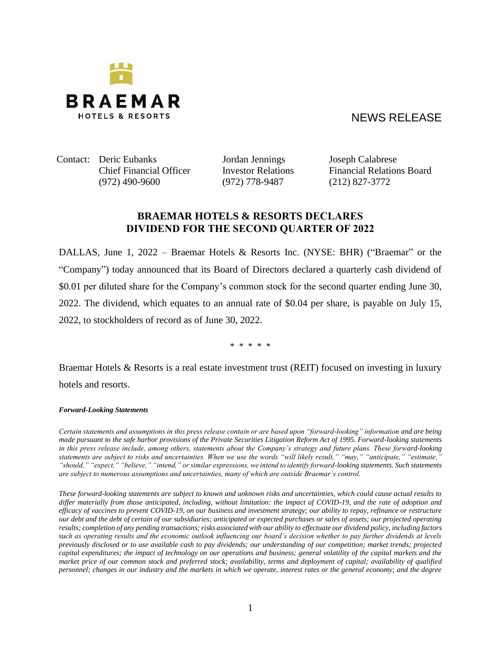

## NEWS RELEASE

Contact: Deric Eubanks Jordan Jennings Joseph Calabrese (972) 490-9600 (972) 778-9487 (212) 827-3772

Chief Financial Officer Investor Relations Financial Relations Board

## **BRAEMAR HOTELS & RESORTS DECLARES DIVIDEND FOR THE SECOND QUARTER OF 2022**

DALLAS, June 1, 2022 – Braemar Hotels & Resorts Inc. (NYSE: BHR) ("Braemar" or the "Company") today announced that its Board of Directors declared a quarterly cash dividend of \$0.01 per diluted share for the Company's common stock for the second quarter ending June 30, 2022. The dividend, which equates to an annual rate of \$0.04 per share, is payable on July 15, 2022, to stockholders of record as of June 30, 2022.

\* \* \* \* \*

Braemar Hotels & Resorts is a real estate investment trust (REIT) focused on investing in luxury hotels and resorts.

*Forward-Looking Statements*

*Certain statements and assumptions in this press release contain or are based upon "forward-looking" information and are being made pursuant to the safe harbor provisions of the Private Securities Litigation Reform Act of 1995. Forward-looking statements in this press release include, among others, statements about the Company's strategy and future plans. These forward-looking statements are subject to risks and uncertainties. When we use the words "will likely result," "may," "anticipate," "estimate," "should," "expect," "believe," "intend," or similar expressions, we intend to identify forward-looking statements. Such statements are subject to numerous assumptions and uncertainties, many of which are outside Braemar's control.*

*These forward-looking statements are subject to known and unknown risks and uncertainties, which could cause actual results to differ materially from those anticipated, including, without limitation: the impact of COVID-19, and the rate of adoption and efficacy of vaccines to prevent COVID-19, on our business and investment strategy; our ability to repay, refinance or restructure our debt and the debt of certain of our subsidiaries; anticipated or expected purchases or sales of assets; our projected operating results; completion of any pending transactions; risks associated with our ability to effectuate our dividend policy, including factors such as operating results and the economic outlook influencing our board's decision whether to pay further dividends at levels previously disclosed or to use available cash to pay dividends; our understanding of our competition; market trends; projected capital expenditures; the impact of technology on our operations and business; general volatility of the capital markets and the market price of our common stock and preferred stock; availability, terms and deployment of capital; availability of qualified personnel; changes in our industry and the markets in which we operate, interest rates or the general economy; and the degree*